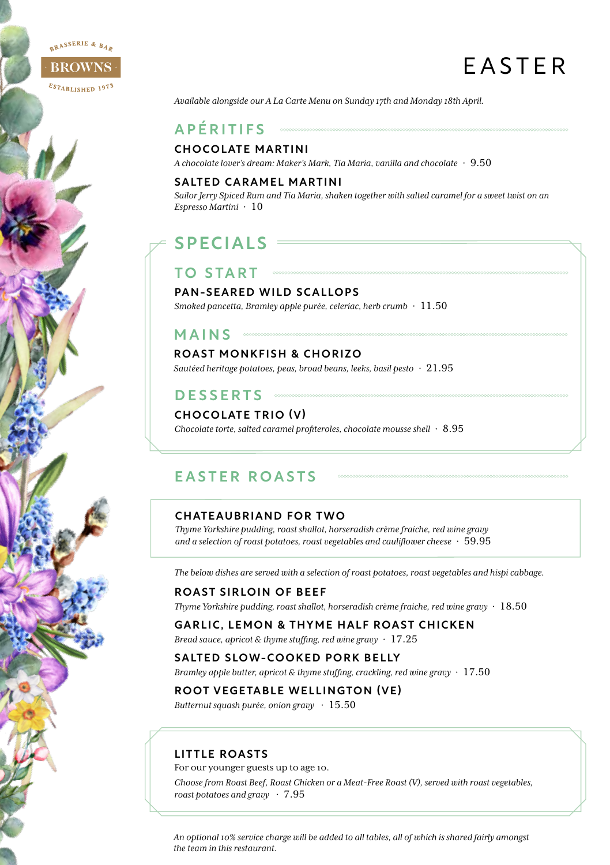

# EASTER

*Available alongside our A La Carte Menu on Sunday 17th and Monday 18th April.*

## APÉRITIFS

#### CHOCOLATE MARTINI

*A chocolate lover's dream: Maker's Mark, Tia Maria, vanilla and chocolate* · 9.50

#### SALTED CARAMEL MARTINI

*Sailor Jerry Spiced Rum and Tia Maria, shaken together with salted caramel for a sweet twist on an Espresso Martini* · 10

## SPECIALS =

#### PAN-SEARED WILD SCALLOPS

TO START

*Smoked pancetta, Bramley apple purée, celeriac, herb crumb* · 11.50

#### MAINS **SECOND**

#### ROAST MONKFISH & CHORIZO

*Sautéed heritage potatoes, peas, broad beans, leeks, basil pesto* · 21.95

## DESSERTS

#### CHOCOLATE TRIO (V)

*Chocolate torte, salted caramel profiteroles, chocolate mousse shell* · 8.95

### EASTER ROASTS

#### CHATEAUBRIAND FOR TWO

*Thyme Yorkshire pudding, roast shallot, horseradish crème fraiche, red wine gravy and a selection of roast potatoes, roast vegetables and cauliflower cheese* · 59.95

*The below dishes are served with a selection of roast potatoes, roast vegetables and hispi cabbage.*

#### ROAST SIRLOIN OF BEEF

*Thyme Yorkshire pudding, roast shallot, horseradish crème fraiche, red wine gravy* · 18.50

#### GARLIC, LEMON & THYME HALF ROAST CHICKEN

*Bread sauce, apricot & thyme stuffing, red wine gravy* · 17.25

#### SALTED SLOW-COOKED PORK BELLY

*Bramley apple butter, apricot & thyme stuffing, crackling, red wine gravy* · 17.50

#### ROOT VEGETABLE WELLINGTON (VE)

*Butternut squash purée, onion gravy* · 15.50

#### LITTLE ROASTS

For our younger guests up to age 10. *Choose from Roast Beef, Roast Chicken or a Meat-Free Roast (V), served with roast vegetables, roast potatoes and gravy* · 7.95

*An optional 10% service charge will be added to all tables, all of which is shared fairly amongst the team in this restaurant.*